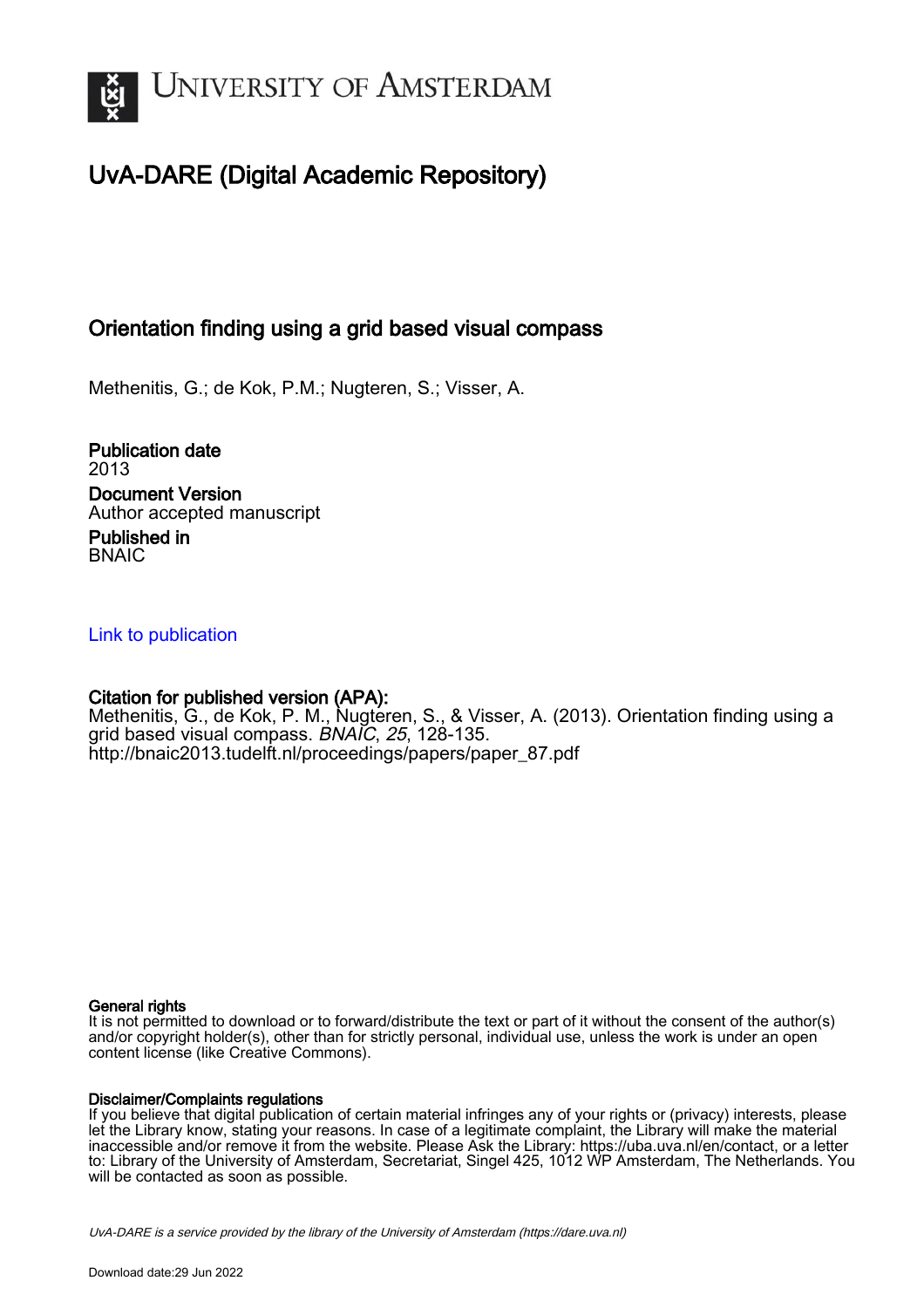

## UvA-DARE (Digital Academic Repository)

## Orientation finding using a grid based visual compass

Methenitis, G.; de Kok, P.M.; Nugteren, S.; Visser, A.

Publication date 2013 Document Version Author accepted manuscript

Published in **BNAIC** 

### [Link to publication](https://dare.uva.nl/personal/pure/en/publications/orientation-finding-using-a-grid-based-visual-compass(9506e8af-b5dc-48b3-9c5a-d9c8006d0c5e).html)

## Citation for published version (APA):

Methenitis, G., de Kok, P. M., Nugteren, S., & Visser, A. (2013). Orientation finding using a grid based visual compass. BNAIC, 25, 128-135. [http://bnaic2013.tudelft.nl/proceedings/papers/paper\\_87.pdf](http://bnaic2013.tudelft.nl/proceedings/papers/paper_87.pdf)

#### General rights

It is not permitted to download or to forward/distribute the text or part of it without the consent of the author(s) and/or copyright holder(s), other than for strictly personal, individual use, unless the work is under an open content license (like Creative Commons).

#### Disclaimer/Complaints regulations

If you believe that digital publication of certain material infringes any of your rights or (privacy) interests, please let the Library know, stating your reasons. In case of a legitimate complaint, the Library will make the material inaccessible and/or remove it from the website. Please Ask the Library: https://uba.uva.nl/en/contact, or a letter to: Library of the University of Amsterdam, Secretariat, Singel 425, 1012 WP Amsterdam, The Netherlands. You will be contacted as soon as possible.

UvA-DARE is a service provided by the library of the University of Amsterdam (http*s*://dare.uva.nl)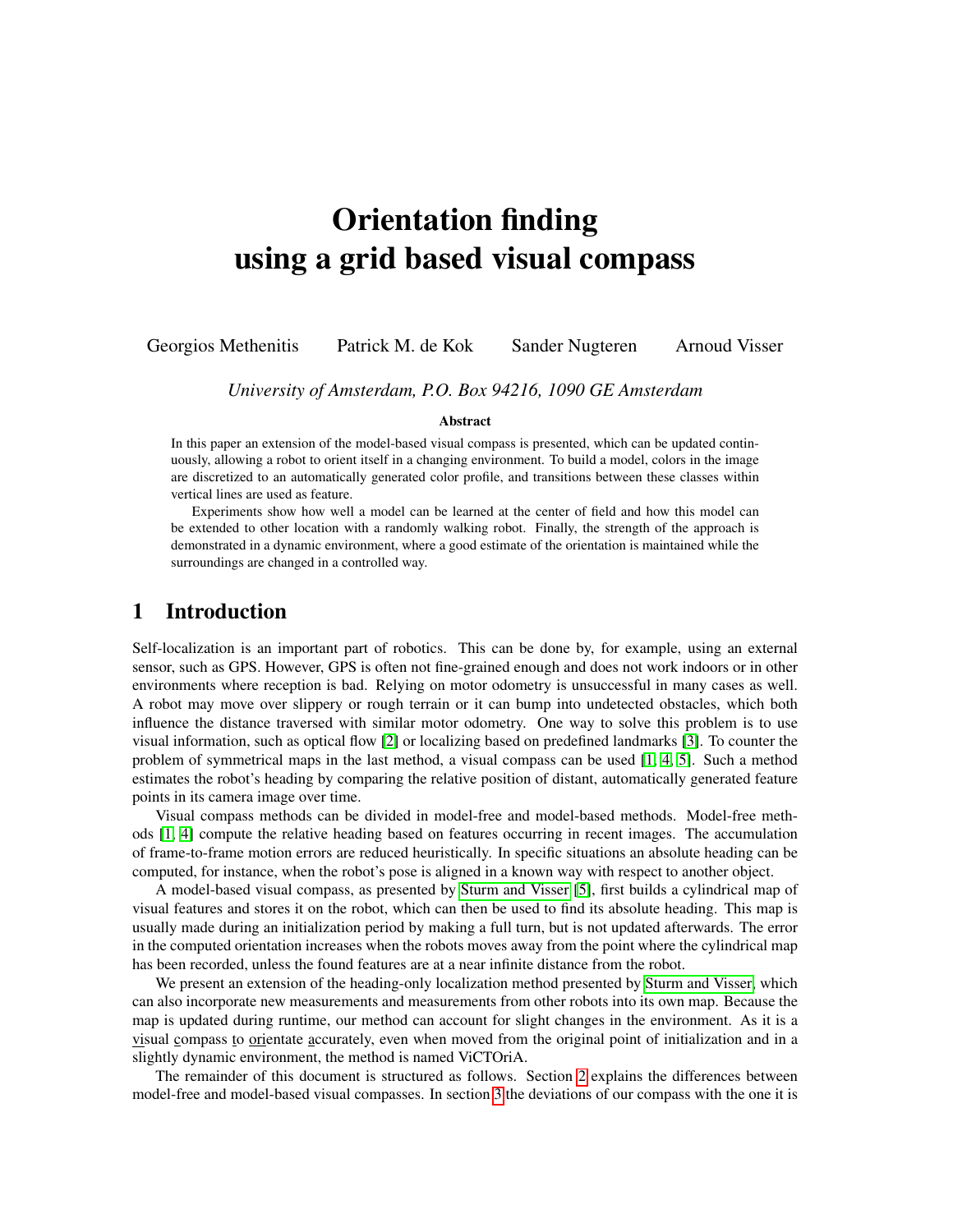# Orientation finding using a grid based visual compass

Georgios Methenitis Patrick M. de Kok Sander Nugteren Arnoud Visser

*University of Amsterdam, P.O. Box 94216, 1090 GE Amsterdam*

#### Abstract

In this paper an extension of the model-based visual compass is presented, which can be updated continuously, allowing a robot to orient itself in a changing environment. To build a model, colors in the image are discretized to an automatically generated color profile, and transitions between these classes within vertical lines are used as feature.

Experiments show how well a model can be learned at the center of field and how this model can be extended to other location with a randomly walking robot. Finally, the strength of the approach is demonstrated in a dynamic environment, where a good estimate of the orientation is maintained while the surroundings are changed in a controlled way.

### 1 Introduction

Self-localization is an important part of robotics. This can be done by, for example, using an external sensor, such as GPS. However, GPS is often not fine-grained enough and does not work indoors or in other environments where reception is bad. Relying on motor odometry is unsuccessful in many cases as well. A robot may move over slippery or rough terrain or it can bump into undetected obstacles, which both influence the distance traversed with similar motor odometry. One way to solve this problem is to use visual information, such as optical flow [\[2\]](#page-8-0) or localizing based on predefined landmarks [\[3\]](#page-8-1). To counter the problem of symmetrical maps in the last method, a visual compass can be used [\[1,](#page-8-2) [4,](#page-8-3) [5\]](#page-8-4). Such a method estimates the robot's heading by comparing the relative position of distant, automatically generated feature points in its camera image over time.

Visual compass methods can be divided in model-free and model-based methods. Model-free methods [\[1,](#page-8-2) [4\]](#page-8-3) compute the relative heading based on features occurring in recent images. The accumulation of frame-to-frame motion errors are reduced heuristically. In specific situations an absolute heading can be computed, for instance, when the robot's pose is aligned in a known way with respect to another object.

A model-based visual compass, as presented by [Sturm and Visser](#page-8-4) [\[5\]](#page-8-4), first builds a cylindrical map of visual features and stores it on the robot, which can then be used to find its absolute heading. This map is usually made during an initialization period by making a full turn, but is not updated afterwards. The error in the computed orientation increases when the robots moves away from the point where the cylindrical map has been recorded, unless the found features are at a near infinite distance from the robot.

We present an extension of the heading-only localization method presented by [Sturm and Visser,](#page-8-4) which can also incorporate new measurements and measurements from other robots into its own map. Because the map is updated during runtime, our method can account for slight changes in the environment. As it is a visual compass to orientate accurately, even when moved from the original point of initialization and in a slightly dynamic environment, the method is named ViCTOriA.

The remainder of this document is structured as follows. Section [2](#page-2-0) explains the differences between model-free and model-based visual compasses. In section [3](#page-3-0) the deviations of our compass with the one it is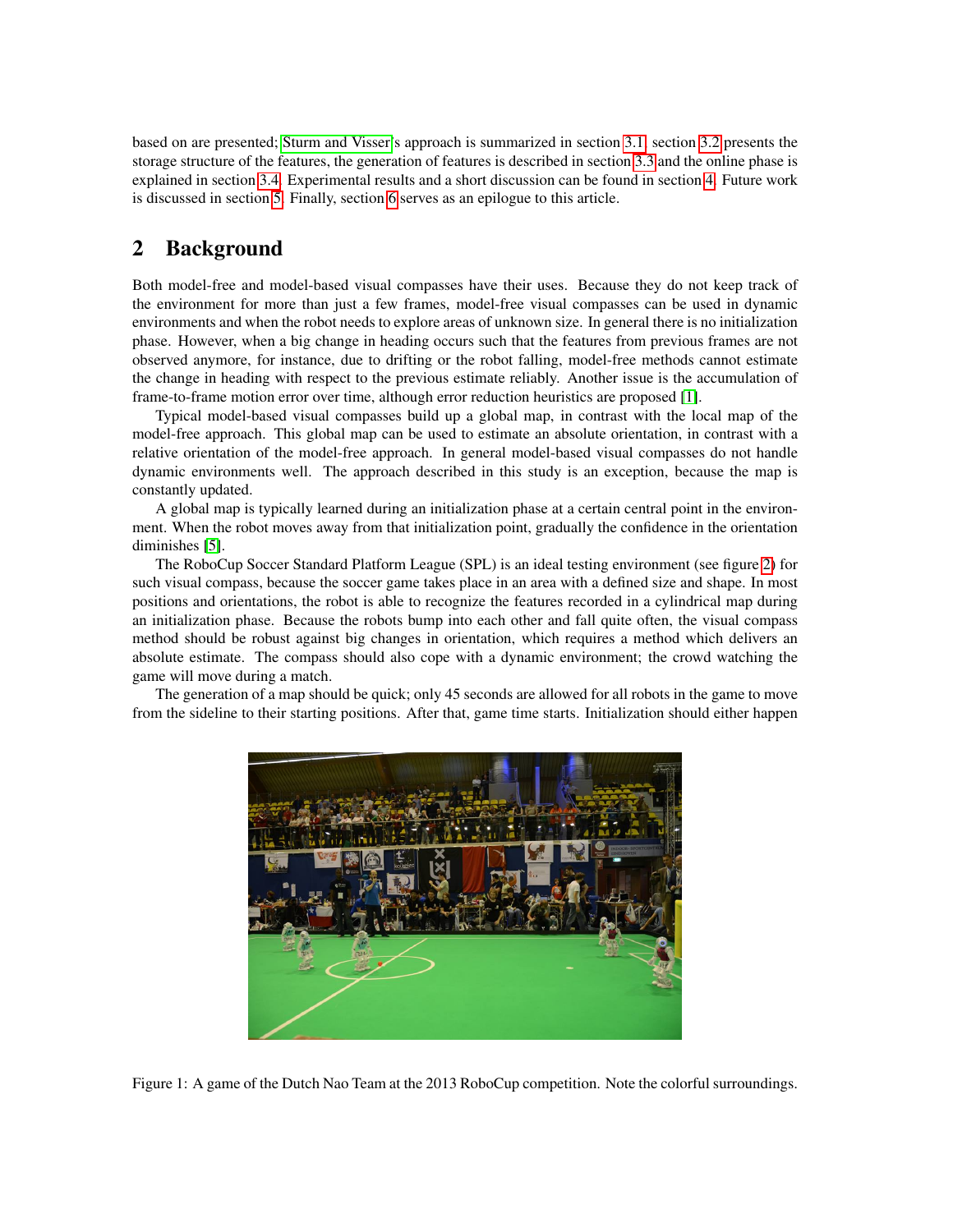based on are presented; [Sturm and Visser'](#page-8-4)s approach is summarized in section [3.1,](#page-3-1) section [3.2](#page-3-2) presents the storage structure of the features, the generation of features is described in section [3.3](#page-4-0) and the online phase is explained in section [3.4.](#page-4-1) Experimental results and a short discussion can be found in section [4.](#page-5-0) Future work is discussed in section [5.](#page-6-0) Finally, section [6](#page-8-5) serves as an epilogue to this article.

## <span id="page-2-0"></span>2 Background

Both model-free and model-based visual compasses have their uses. Because they do not keep track of the environment for more than just a few frames, model-free visual compasses can be used in dynamic environments and when the robot needs to explore areas of unknown size. In general there is no initialization phase. However, when a big change in heading occurs such that the features from previous frames are not observed anymore, for instance, due to drifting or the robot falling, model-free methods cannot estimate the change in heading with respect to the previous estimate reliably. Another issue is the accumulation of frame-to-frame motion error over time, although error reduction heuristics are proposed [\[1\]](#page-8-2).

Typical model-based visual compasses build up a global map, in contrast with the local map of the model-free approach. This global map can be used to estimate an absolute orientation, in contrast with a relative orientation of the model-free approach. In general model-based visual compasses do not handle dynamic environments well. The approach described in this study is an exception, because the map is constantly updated.

A global map is typically learned during an initialization phase at a certain central point in the environment. When the robot moves away from that initialization point, gradually the confidence in the orientation diminishes [\[5\]](#page-8-4).

The RoboCup Soccer Standard Platform League (SPL) is an ideal testing environment (see figure [2\)](#page-2-0) for such visual compass, because the soccer game takes place in an area with a defined size and shape. In most positions and orientations, the robot is able to recognize the features recorded in a cylindrical map during an initialization phase. Because the robots bump into each other and fall quite often, the visual compass method should be robust against big changes in orientation, which requires a method which delivers an absolute estimate. The compass should also cope with a dynamic environment; the crowd watching the game will move during a match.

The generation of a map should be quick; only 45 seconds are allowed for all robots in the game to move from the sideline to their starting positions. After that, game time starts. Initialization should either happen



Figure 1: A game of the Dutch Nao Team at the 2013 RoboCup competition. Note the colorful surroundings.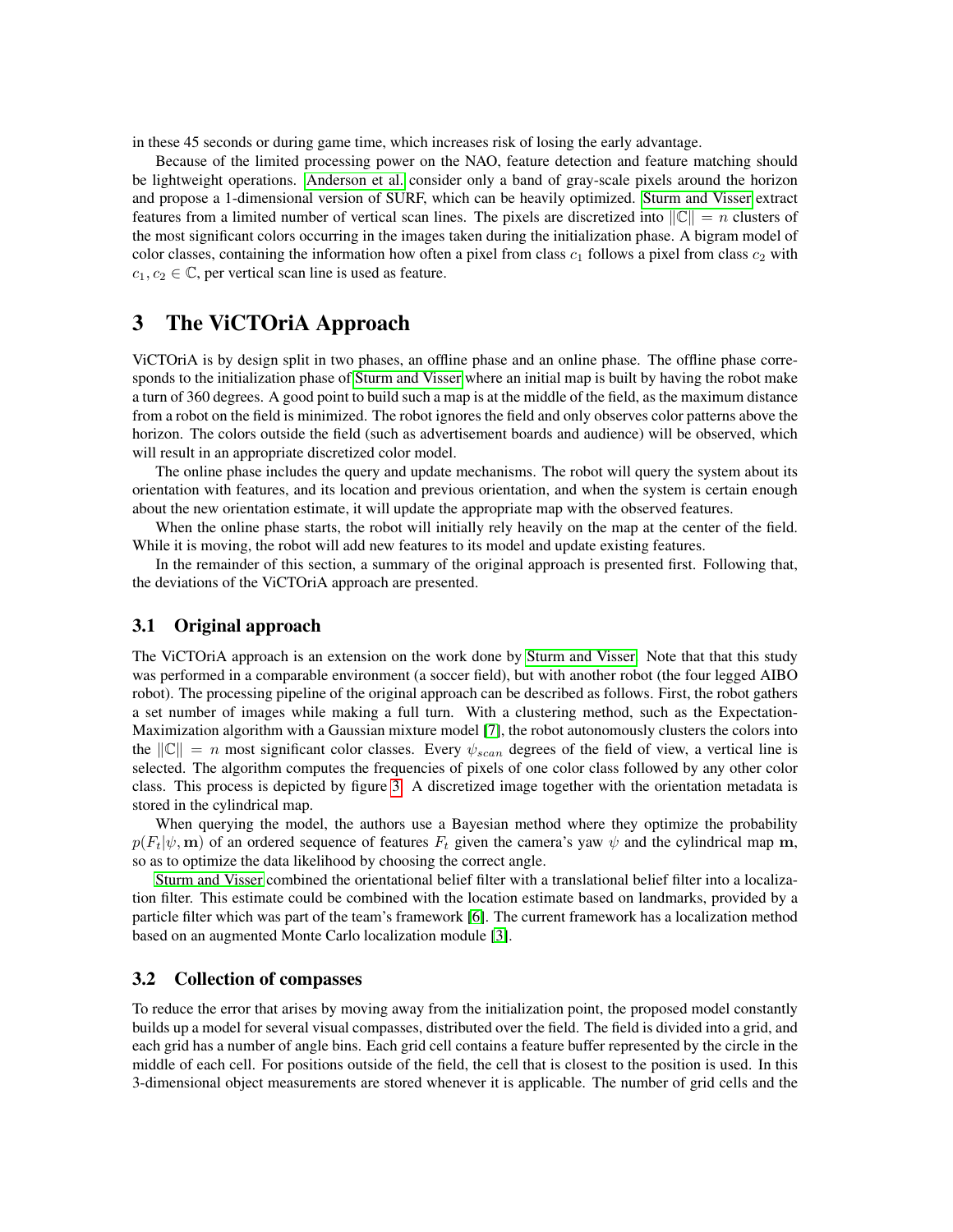in these 45 seconds or during game time, which increases risk of losing the early advantage.

Because of the limited processing power on the NAO, feature detection and feature matching should be lightweight operations. [Anderson et al.](#page-8-2) consider only a band of gray-scale pixels around the horizon and propose a 1-dimensional version of SURF, which can be heavily optimized. [Sturm and Visser](#page-8-4) extract features from a limited number of vertical scan lines. The pixels are discretized into  $||\mathbb{C}|| = n$  clusters of the most significant colors occurring in the images taken during the initialization phase. A bigram model of color classes, containing the information how often a pixel from class  $c_1$  follows a pixel from class  $c_2$  with  $c_1, c_2 \in \mathbb{C}$ , per vertical scan line is used as feature.

## <span id="page-3-0"></span>3 The ViCTOriA Approach

ViCTOriA is by design split in two phases, an offline phase and an online phase. The offline phase corresponds to the initialization phase of [Sturm and Visser](#page-8-4) where an initial map is built by having the robot make a turn of 360 degrees. A good point to build such a map is at the middle of the field, as the maximum distance from a robot on the field is minimized. The robot ignores the field and only observes color patterns above the horizon. The colors outside the field (such as advertisement boards and audience) will be observed, which will result in an appropriate discretized color model.

The online phase includes the query and update mechanisms. The robot will query the system about its orientation with features, and its location and previous orientation, and when the system is certain enough about the new orientation estimate, it will update the appropriate map with the observed features.

When the online phase starts, the robot will initially rely heavily on the map at the center of the field. While it is moving, the robot will add new features to its model and update existing features.

In the remainder of this section, a summary of the original approach is presented first. Following that, the deviations of the ViCTOriA approach are presented.

#### <span id="page-3-1"></span>3.1 Original approach

The ViCTOriA approach is an extension on the work done by [Sturm and Visser.](#page-8-4) Note that that this study was performed in a comparable environment (a soccer field), but with another robot (the four legged AIBO robot). The processing pipeline of the original approach can be described as follows. First, the robot gathers a set number of images while making a full turn. With a clustering method, such as the Expectation-Maximization algorithm with a Gaussian mixture model [\[7\]](#page-8-6), the robot autonomously clusters the colors into the  $\|\mathbb{C}\| = n$  most significant color classes. Every  $\psi_{scan}$  degrees of the field of view, a vertical line is selected. The algorithm computes the frequencies of pixels of one color class followed by any other color class. This process is depicted by figure [3.](#page-5-1) A discretized image together with the orientation metadata is stored in the cylindrical map.

When querying the model, the authors use a Bayesian method where they optimize the probability  $p(F_t|\psi, \mathbf{m})$  of an ordered sequence of features  $F_t$  given the camera's yaw  $\psi$  and the cylindrical map m, so as to optimize the data likelihood by choosing the correct angle.

[Sturm and Visser](#page-8-4) combined the orientational belief filter with a translational belief filter into a localization filter. This estimate could be combined with the location estimate based on landmarks, provided by a particle filter which was part of the team's framework [\[6\]](#page-8-7). The current framework has a localization method based on an augmented Monte Carlo localization module [\[3\]](#page-8-1).

#### <span id="page-3-2"></span>3.2 Collection of compasses

To reduce the error that arises by moving away from the initialization point, the proposed model constantly builds up a model for several visual compasses, distributed over the field. The field is divided into a grid, and each grid has a number of angle bins. Each grid cell contains a feature buffer represented by the circle in the middle of each cell. For positions outside of the field, the cell that is closest to the position is used. In this 3-dimensional object measurements are stored whenever it is applicable. The number of grid cells and the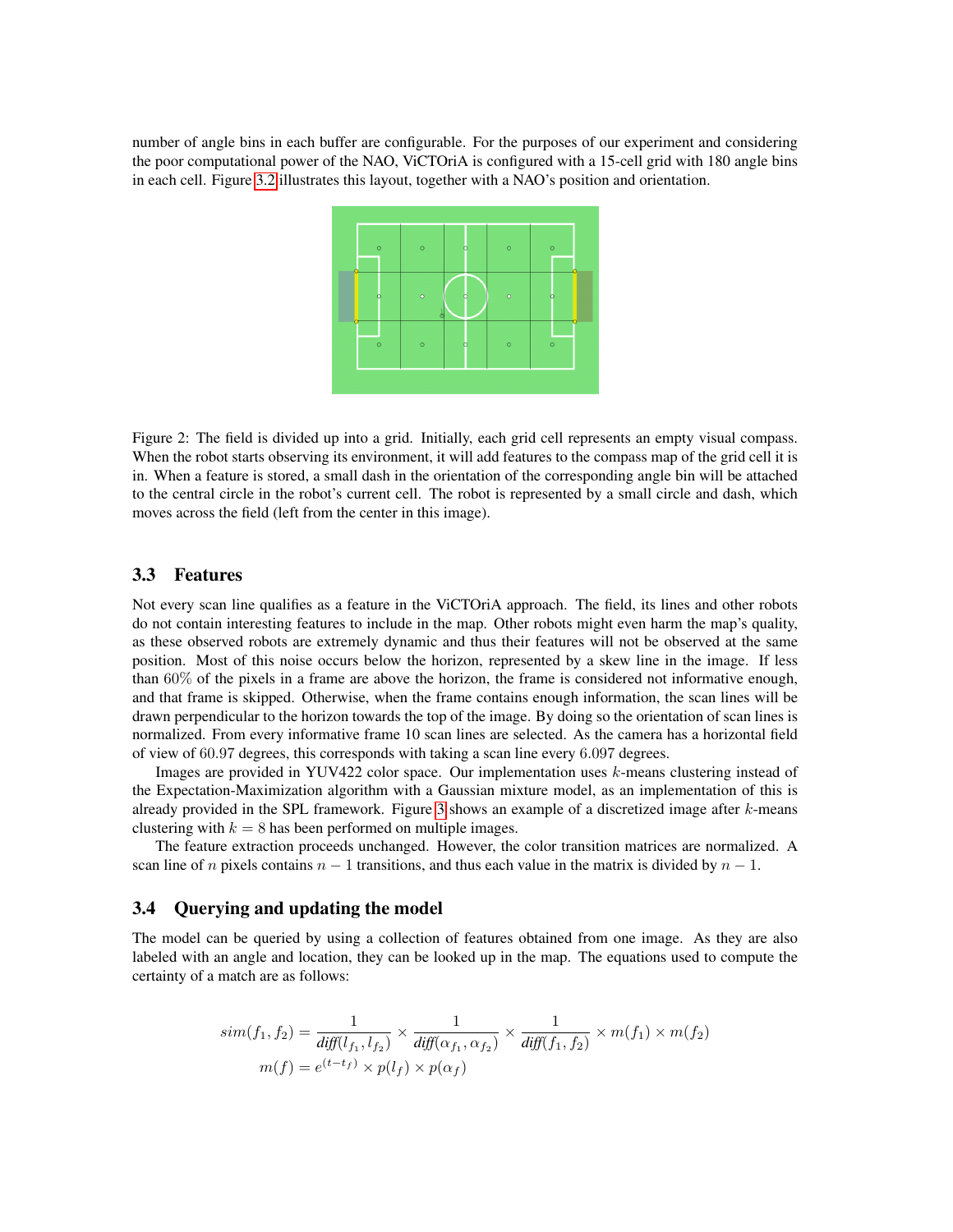number of angle bins in each buffer are configurable. For the purposes of our experiment and considering the poor computational power of the NAO, ViCTOriA is configured with a 15-cell grid with 180 angle bins in each cell. Figure [3.2](#page-3-2) illustrates this layout, together with a NAO's position and orientation.



Figure 2: The field is divided up into a grid. Initially, each grid cell represents an empty visual compass. When the robot starts observing its environment, it will add features to the compass map of the grid cell it is in. When a feature is stored, a small dash in the orientation of the corresponding angle bin will be attached to the central circle in the robot's current cell. The robot is represented by a small circle and dash, which moves across the field (left from the center in this image).

#### <span id="page-4-0"></span>3.3 Features

Not every scan line qualifies as a feature in the ViCTOriA approach. The field, its lines and other robots do not contain interesting features to include in the map. Other robots might even harm the map's quality, as these observed robots are extremely dynamic and thus their features will not be observed at the same position. Most of this noise occurs below the horizon, represented by a skew line in the image. If less than 60% of the pixels in a frame are above the horizon, the frame is considered not informative enough, and that frame is skipped. Otherwise, when the frame contains enough information, the scan lines will be drawn perpendicular to the horizon towards the top of the image. By doing so the orientation of scan lines is normalized. From every informative frame 10 scan lines are selected. As the camera has a horizontal field of view of 60.97 degrees, this corresponds with taking a scan line every 6.097 degrees.

Images are provided in YUV422 color space. Our implementation uses k-means clustering instead of the Expectation-Maximization algorithm with a Gaussian mixture model, as an implementation of this is already provided in the SPL framework. Figure [3](#page-5-1) shows an example of a discretized image after  $k$ -means clustering with  $k = 8$  has been performed on multiple images.

The feature extraction proceeds unchanged. However, the color transition matrices are normalized. A scan line of n pixels contains  $n - 1$  transitions, and thus each value in the matrix is divided by  $n - 1$ .

#### <span id="page-4-1"></span>3.4 Querying and updating the model

The model can be queried by using a collection of features obtained from one image. As they are also labeled with an angle and location, they can be looked up in the map. The equations used to compute the certainty of a match are as follows:

$$
sim(f_1, f_2) = \frac{1}{\text{diff}(l_{f_1}, l_{f_2})} \times \frac{1}{\text{diff}(\alpha_{f_1}, \alpha_{f_2})} \times \frac{1}{\text{diff}(f_1, f_2)} \times m(f_1) \times m(f_2)
$$

$$
m(f) = e^{(t-t_f)} \times p(l_f) \times p(\alpha_f)
$$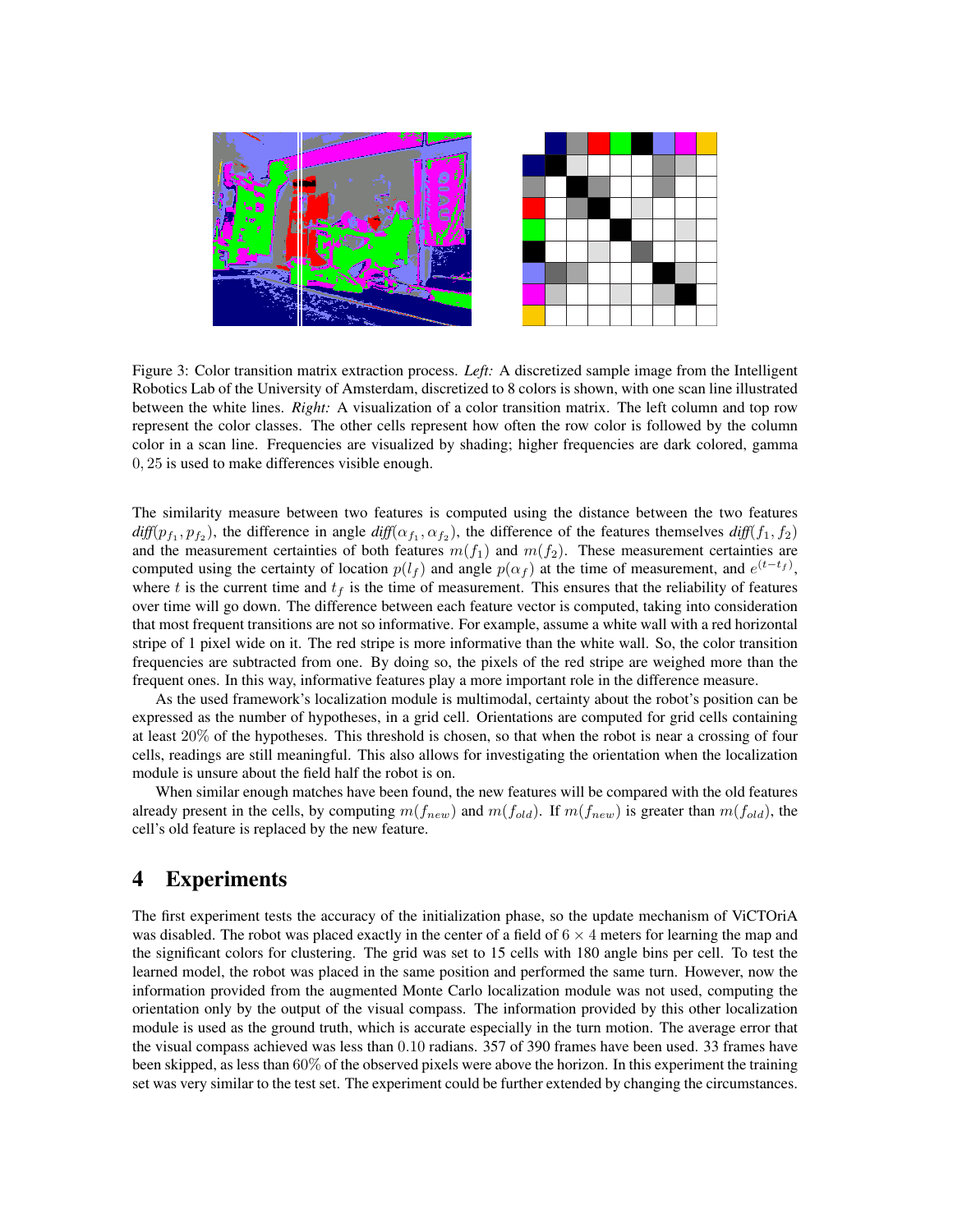

<span id="page-5-1"></span>Figure 3: Color transition matrix extraction process. *Left:* A discretized sample image from the Intelligent Robotics Lab of the University of Amsterdam, discretized to 8 colors is shown, with one scan line illustrated between the white lines. *Right:* A visualization of a color transition matrix. The left column and top row represent the color classes. The other cells represent how often the row color is followed by the column color in a scan line. Frequencies are visualized by shading; higher frequencies are dark colored, gamma 0, 25 is used to make differences visible enough.

The similarity measure between two features is computed using the distance between the two features  $diff(p_{f_1}, p_{f_2})$ , the difference in angle  $diff(\alpha_{f_1}, \alpha_{f_2})$ , the difference of the features themselves  $diff(f_1, f_2)$ and the measurement certainties of both features  $m(f_1)$  and  $m(f_2)$ . These measurement certainties are computed using the certainty of location  $p(l_f)$  and angle  $p(\alpha_f)$  at the time of measurement, and  $e^{(t-t_f)}$ , where t is the current time and  $t_f$  is the time of measurement. This ensures that the reliability of features over time will go down. The difference between each feature vector is computed, taking into consideration that most frequent transitions are not so informative. For example, assume a white wall with a red horizontal stripe of 1 pixel wide on it. The red stripe is more informative than the white wall. So, the color transition frequencies are subtracted from one. By doing so, the pixels of the red stripe are weighed more than the frequent ones. In this way, informative features play a more important role in the difference measure.

As the used framework's localization module is multimodal, certainty about the robot's position can be expressed as the number of hypotheses, in a grid cell. Orientations are computed for grid cells containing at least 20% of the hypotheses. This threshold is chosen, so that when the robot is near a crossing of four cells, readings are still meaningful. This also allows for investigating the orientation when the localization module is unsure about the field half the robot is on.

When similar enough matches have been found, the new features will be compared with the old features already present in the cells, by computing  $m(f_{new})$  and  $m(f_{old})$ . If  $m(f_{new})$  is greater than  $m(f_{old})$ , the cell's old feature is replaced by the new feature.

### <span id="page-5-0"></span>4 Experiments

The first experiment tests the accuracy of the initialization phase, so the update mechanism of ViCTOriA was disabled. The robot was placed exactly in the center of a field of  $6 \times 4$  meters for learning the map and the significant colors for clustering. The grid was set to 15 cells with 180 angle bins per cell. To test the learned model, the robot was placed in the same position and performed the same turn. However, now the information provided from the augmented Monte Carlo localization module was not used, computing the orientation only by the output of the visual compass. The information provided by this other localization module is used as the ground truth, which is accurate especially in the turn motion. The average error that the visual compass achieved was less than 0.10 radians. 357 of 390 frames have been used. 33 frames have been skipped, as less than 60% of the observed pixels were above the horizon. In this experiment the training set was very similar to the test set. The experiment could be further extended by changing the circumstances.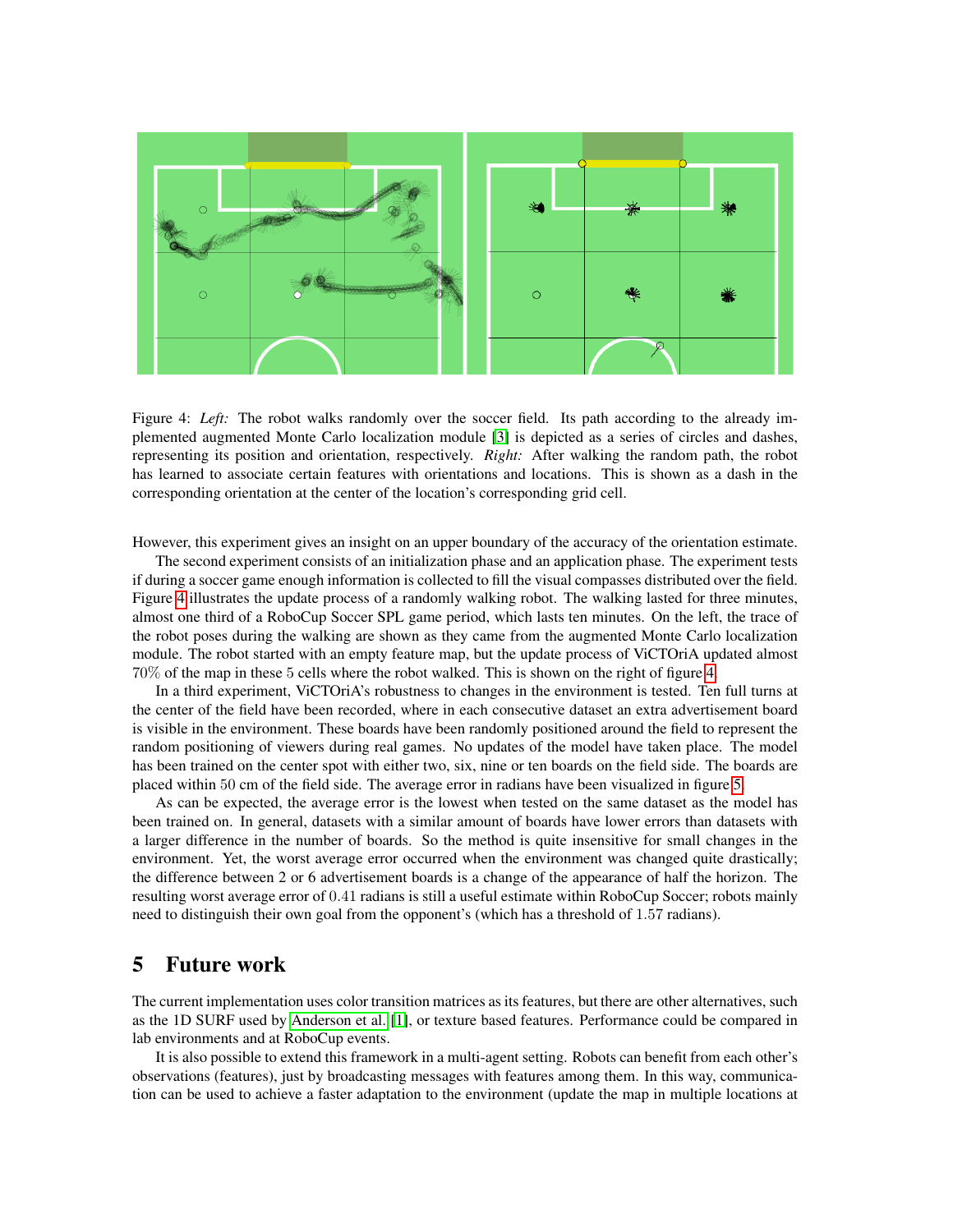

<span id="page-6-1"></span>Figure 4: *Left*: The robot walks randomly over the soccer field. Its path according to the already implemented augmented Monte Carlo localization module [\[3\]](#page-8-1) is depicted as a series of circles and dashes, representing its position and orientation, respectively. *Right:* After walking the random path, the robot has learned to associate certain features with orientations and locations. This is shown as a dash in the corresponding orientation at the center of the location's corresponding grid cell.

However, this experiment gives an insight on an upper boundary of the accuracy of the orientation estimate.

The second experiment consists of an initialization phase and an application phase. The experiment tests if during a soccer game enough information is collected to fill the visual compasses distributed over the field. Figure [4](#page-6-1) illustrates the update process of a randomly walking robot. The walking lasted for three minutes, almost one third of a RoboCup Soccer SPL game period, which lasts ten minutes. On the left, the trace of the robot poses during the walking are shown as they came from the augmented Monte Carlo localization module. The robot started with an empty feature map, but the update process of ViCTOriA updated almost 70% of the map in these 5 cells where the robot walked. This is shown on the right of figure [4.](#page-6-1)

In a third experiment, ViCTOriA's robustness to changes in the environment is tested. Ten full turns at the center of the field have been recorded, where in each consecutive dataset an extra advertisement board is visible in the environment. These boards have been randomly positioned around the field to represent the random positioning of viewers during real games. No updates of the model have taken place. The model has been trained on the center spot with either two, six, nine or ten boards on the field side. The boards are placed within 50 cm of the field side. The average error in radians have been visualized in figure [5.](#page-7-0)

As can be expected, the average error is the lowest when tested on the same dataset as the model has been trained on. In general, datasets with a similar amount of boards have lower errors than datasets with a larger difference in the number of boards. So the method is quite insensitive for small changes in the environment. Yet, the worst average error occurred when the environment was changed quite drastically; the difference between 2 or 6 advertisement boards is a change of the appearance of half the horizon. The resulting worst average error of 0.41 radians is still a useful estimate within RoboCup Soccer; robots mainly need to distinguish their own goal from the opponent's (which has a threshold of 1.57 radians).

### <span id="page-6-0"></span>5 Future work

The current implementation uses color transition matrices as its features, but there are other alternatives, such as the 1D SURF used by [Anderson et al.](#page-8-2) [\[1\]](#page-8-2), or texture based features. Performance could be compared in lab environments and at RoboCup events.

It is also possible to extend this framework in a multi-agent setting. Robots can benefit from each other's observations (features), just by broadcasting messages with features among them. In this way, communication can be used to achieve a faster adaptation to the environment (update the map in multiple locations at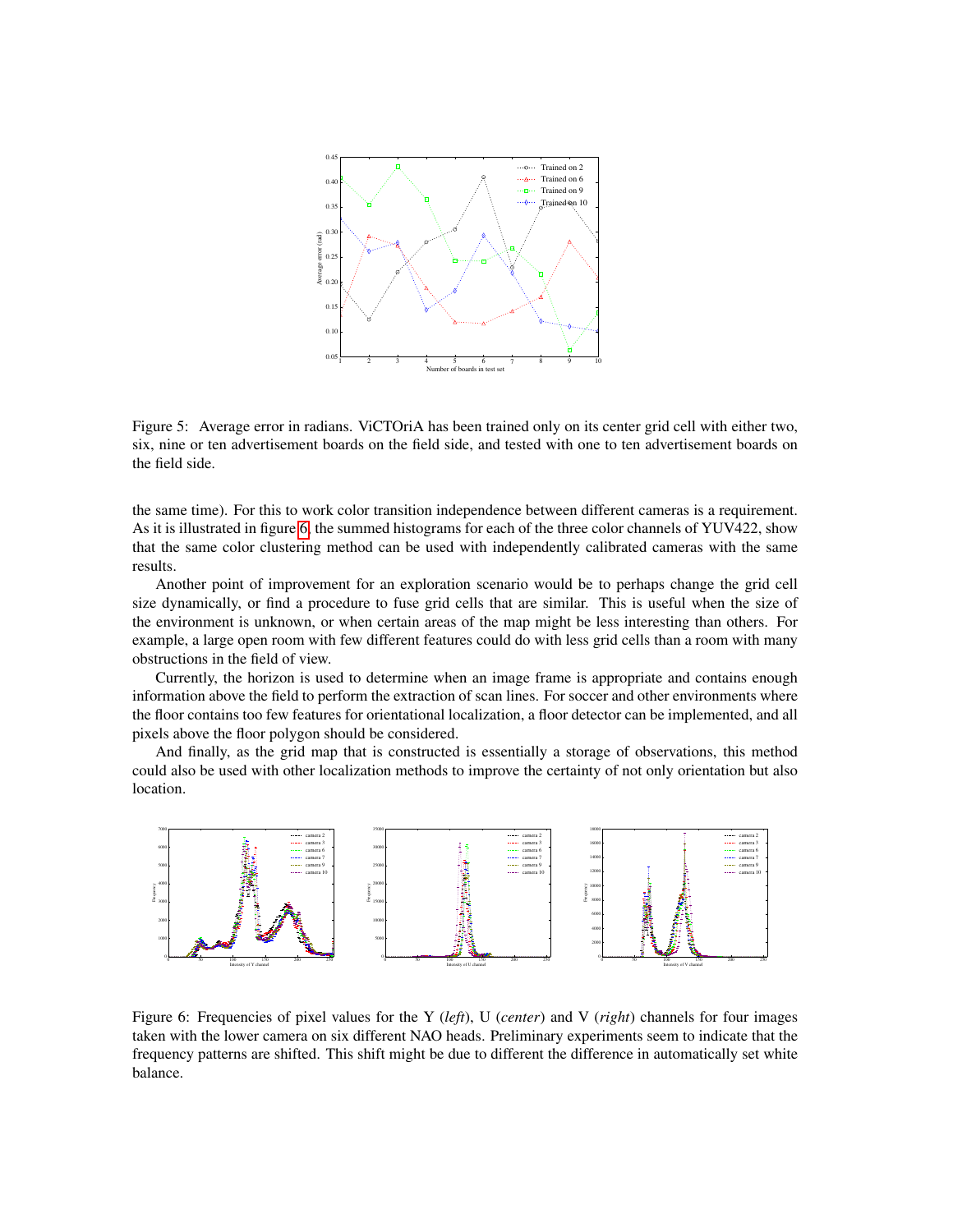

<span id="page-7-0"></span>Figure 5: Average error in radians. ViCTOriA has been trained only on its center grid cell with either two, six, nine or ten advertisement boards on the field side, and tested with one to ten advertisement boards on the field side.

the same time). For this to work color transition independence between different cameras is a requirement. As it is illustrated in figure [6,](#page-7-1) the summed histograms for each of the three color channels of YUV422, show that the same color clustering method can be used with independently calibrated cameras with the same results.

Another point of improvement for an exploration scenario would be to perhaps change the grid cell size dynamically, or find a procedure to fuse grid cells that are similar. This is useful when the size of the environment is unknown, or when certain areas of the map might be less interesting than others. For example, a large open room with few different features could do with less grid cells than a room with many obstructions in the field of view.

Currently, the horizon is used to determine when an image frame is appropriate and contains enough information above the field to perform the extraction of scan lines. For soccer and other environments where the floor contains too few features for orientational localization, a floor detector can be implemented, and all pixels above the floor polygon should be considered.

And finally, as the grid map that is constructed is essentially a storage of observations, this method could also be used with other localization methods to improve the certainty of not only orientation but also location.



<span id="page-7-1"></span>Figure 6: Frequencies of pixel values for the Y (*left*), U (*center*) and V (*right*) channels for four images taken with the lower camera on six different NAO heads. Preliminary experiments seem to indicate that the frequency patterns are shifted. This shift might be due to different the difference in automatically set white balance.